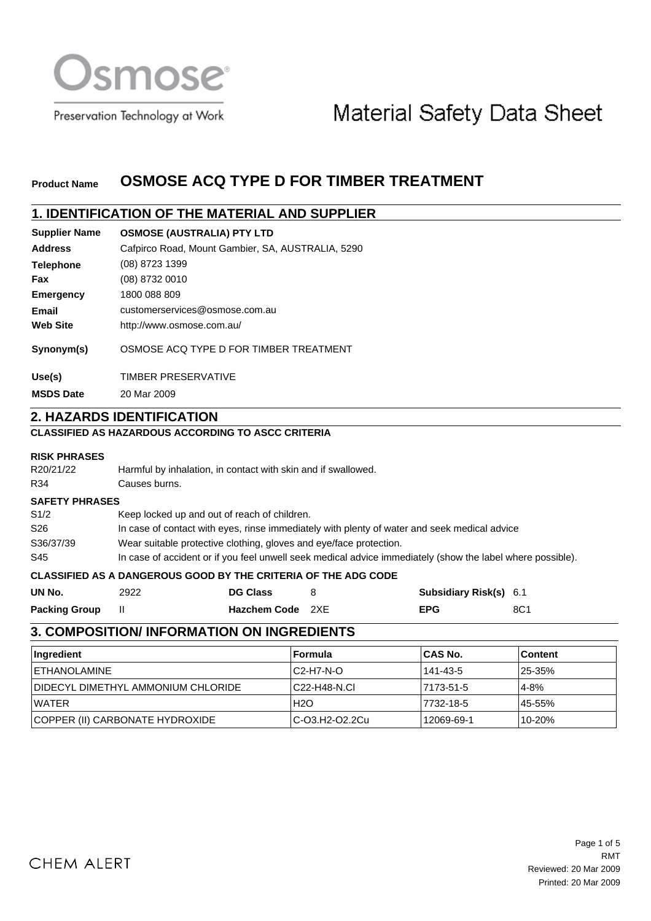

Preservation Technology at Work

# Material Safety Data Sheet

#### **OSMOSE ACQ TYPE D FOR TIMBER TREATMENT Product Name**

# **1. IDENTIFICATION OF THE MATERIAL AND SUPPLIER**

| <b>Supplier Name</b> | <b>OSMOSE (AUSTRALIA) PTY LTD</b>                 |
|----------------------|---------------------------------------------------|
| <b>Address</b>       | Cafpirco Road, Mount Gambier, SA, AUSTRALIA, 5290 |
| <b>Telephone</b>     | (08) 8723 1399                                    |
| Fax                  | (08) 8732 0010                                    |
| <b>Emergency</b>     | 1800 088 809                                      |
| Email                | customerservices@osmose.com.au                    |
| <b>Web Site</b>      | http://www.osmose.com.au/                         |
| Synonym(s)           | OSMOSE ACQ TYPE D FOR TIMBER TREATMENT            |
| Use(s)               | <b>TIMBER PRESERVATIVE</b>                        |
| <b>MSDS Date</b>     | 20 Mar 2009                                       |

# **2. HAZARDS IDENTIFICATION**

### **CLASSIFIED AS HAZARDOUS ACCORDING TO ASCC CRITERIA**

### **RISK PHRASES**

| R20/21/22             | Harmful by inhalation, in contact with skin and if swallowed.                                              |                                                                |     |                               |     |
|-----------------------|------------------------------------------------------------------------------------------------------------|----------------------------------------------------------------|-----|-------------------------------|-----|
| R34                   | Causes burns.                                                                                              |                                                                |     |                               |     |
| <b>SAFETY PHRASES</b> |                                                                                                            |                                                                |     |                               |     |
| S1/2                  | Keep locked up and out of reach of children.                                                               |                                                                |     |                               |     |
| S <sub>26</sub>       | In case of contact with eyes, rinse immediately with plenty of water and seek medical advice               |                                                                |     |                               |     |
| S36/37/39             | Wear suitable protective clothing, gloves and eve/face protection.                                         |                                                                |     |                               |     |
| S45                   | In case of accident or if you feel unwell seek medical advice immediately (show the label where possible). |                                                                |     |                               |     |
|                       |                                                                                                            | CLASSIFIED AS A DANGEROUS GOOD BY THE CRITERIA OF THE ADG CODE |     |                               |     |
| UN No.                | 2922                                                                                                       | <b>DG Class</b>                                                | 8   | <b>Subsidiary Risk(s)</b> 6.1 |     |
| <b>Packing Group</b>  | Ш                                                                                                          | <b>Hazchem Code</b>                                            | 2XF | <b>EPG</b>                    | 8C1 |

### **3. COMPOSITION/ INFORMATION ON INGREDIENTS**

| <b>Ingredient</b>                  | ⊺Formula        | ∣CAS No.   | ⊺Content |
|------------------------------------|-----------------|------------|----------|
| I ETHANOLAMINE                     | IC2-H7-N-O      | 141-43-5   | 25-35%   |
| DIDECYL DIMETHYL AMMONIUM CHLORIDE | C22-H48-N.CI    | 17173-51-5 | 4-8%     |
| I WATER                            | H2O             | 17732-18-5 | 45-55%   |
| COPPER (II) CARBONATE HYDROXIDE    | IC-03.H2-02.2Cu | 12069-69-1 | 10-20%   |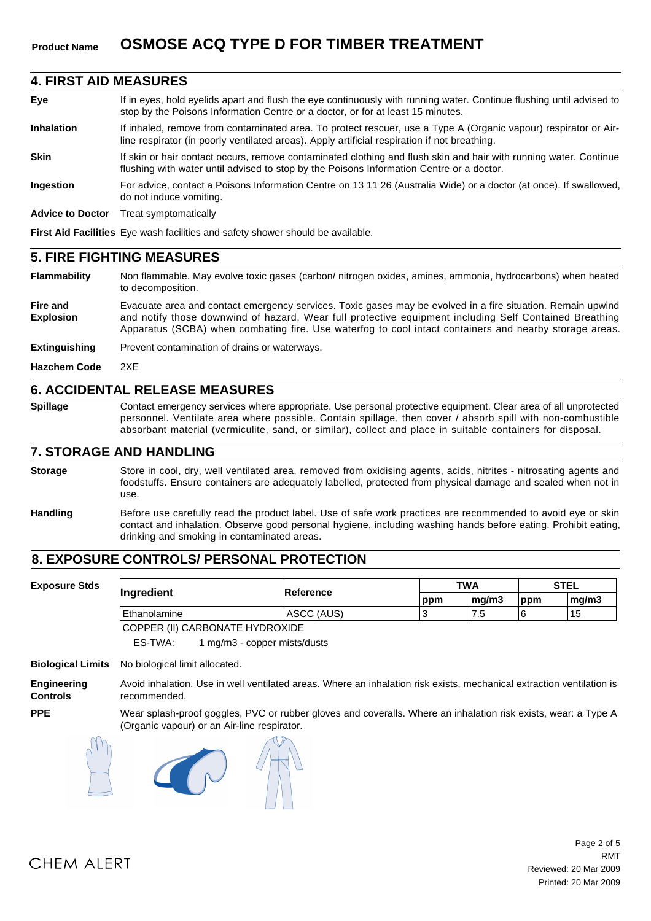#### **4. FIRST AID MEASURES**

| Eye                     | If in eyes, hold eyelids apart and flush the eye continuously with running water. Continue flushing until advised to<br>stop by the Poisons Information Centre or a doctor, or for at least 15 minutes.         |
|-------------------------|-----------------------------------------------------------------------------------------------------------------------------------------------------------------------------------------------------------------|
| <b>Inhalation</b>       | If inhaled, remove from contaminated area. To protect rescuer, use a Type A (Organic vapour) respirator or Air-<br>line respirator (in poorly ventilated areas). Apply artificial respiration if not breathing. |
| <b>Skin</b>             | If skin or hair contact occurs, remove contaminated clothing and flush skin and hair with running water. Continue<br>flushing with water until advised to stop by the Poisons Information Centre or a doctor.   |
| <b>Ingestion</b>        | For advice, contact a Poisons Information Centre on 13 11 26 (Australia Wide) or a doctor (at once). If swallowed,<br>do not induce vomiting.                                                                   |
| <b>Advice to Doctor</b> | Treat symptomatically                                                                                                                                                                                           |
|                         | <b>First Aid Facilities</b> Eye wash facilities and safety shower should be available.                                                                                                                          |

#### **5. FIRE FIGHTING MEASURES**

**Flammability** Non flammable. May evolve toxic gases (carbon/ nitrogen oxides, amines, ammonia, hydrocarbons) when heated to decomposition.

**Fire and Explosion** Evacuate area and contact emergency services. Toxic gases may be evolved in a fire situation. Remain upwind and notify those downwind of hazard. Wear full protective equipment including Self Contained Breathing Apparatus (SCBA) when combating fire. Use waterfog to cool intact containers and nearby storage areas.

**Extinguishing** Prevent contamination of drains or waterways.

**Hazchem Code** 2XE

#### **6. ACCIDENTAL RELEASE MEASURES**

**Spillage** Contact emergency services where appropriate. Use personal protective equipment. Clear area of all unprotected personnel. Ventilate area where possible. Contain spillage, then cover / absorb spill with non-combustible absorbant material (vermiculite, sand, or similar), collect and place in suitable containers for disposal.

### **7. STORAGE AND HANDLING**

Store in cool, dry, well ventilated area, removed from oxidising agents, acids, nitrites - nitrosating agents and foodstuffs. Ensure containers are adequately labelled, protected from physical damage and sealed when not in use. **Storage**

**Handling** Before use carefully read the product label. Use of safe work practices are recommended to avoid eye or skin contact and inhalation. Observe good personal hygiene, including washing hands before eating. Prohibit eating, drinking and smoking in contaminated areas.

# **8. EXPOSURE CONTROLS/ PERSONAL PROTECTION**

| <b>Exposure Stds</b> | Ingredient                        |            |     | <b>TWA</b> |     | <b>STEL</b> |  |
|----------------------|-----------------------------------|------------|-----|------------|-----|-------------|--|
|                      |                                   | Reference  | ppm | ∣ma/m3     | ppm | mq/m3       |  |
|                      | Ethanolamine                      | ASCC (AUS) |     | ن. ا       |     | 15          |  |
|                      | CODDED (II) OI DDONIATE UNDDOVIDE |            |     |            |     |             |  |

COPPER (II) CARBONATE HYDROXIDE

ES-TWA: 1 mg/m3 - copper mists/dusts

**Biological Limits** No biological limit allocated.

**Engineering Controls** Avoid inhalation. Use in well ventilated areas. Where an inhalation risk exists, mechanical extraction ventilation is recommended.

Wear splash-proof goggles, PVC or rubber gloves and coveralls. Where an inhalation risk exists, wear: a Type A (Organic vapour) or an Air-line respirator.

**PPE**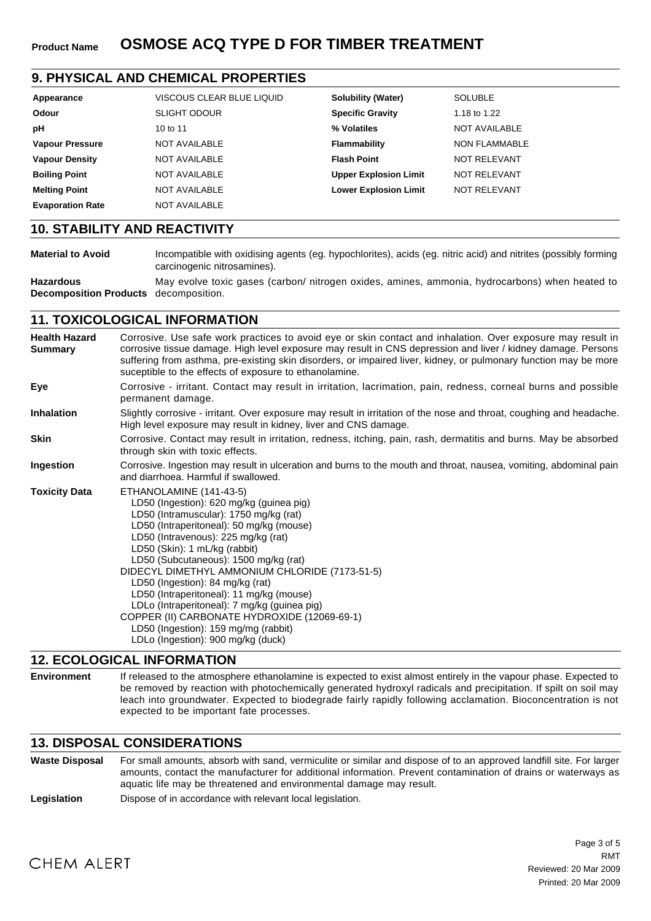# **9. PHYSICAL AND CHEMICAL PROPERTIES**

| Appearance              | VISCOUS CLEAR BLUE LIQUID | <b>Solubility (Water)</b>    | <b>SOLUBLE</b>       |
|-------------------------|---------------------------|------------------------------|----------------------|
| Odour                   | <b>SLIGHT ODOUR</b>       | <b>Specific Gravity</b>      | 1.18 to 1.22         |
| рH                      | 10 to 11                  | % Volatiles                  | <b>NOT AVAILABLE</b> |
| <b>Vapour Pressure</b>  | NOT AVAILABLE             | Flammability                 | NON FLAMMABLE        |
| <b>Vapour Density</b>   | NOT AVAILABLE             | <b>Flash Point</b>           | NOT RELEVANT         |
| <b>Boiling Point</b>    | NOT AVAILABLE             | <b>Upper Explosion Limit</b> | NOT RELEVANT         |
| <b>Melting Point</b>    | NOT AVAILABLE             | <b>Lower Explosion Limit</b> | <b>NOT RELEVANT</b>  |
| <b>Evaporation Rate</b> | NOT AVAILABLE             |                              |                      |

### **10. STABILITY AND REACTIVITY**

**Material to Avoid** Incompatible with oxidising agents (eg. hypochlorites), acids (eg. nitric acid) and nitrites (possibly forming carcinogenic nitrosamines).

**Hazardous Decomposition Products** decomposition. May evolve toxic gases (carbon/ nitrogen oxides, amines, ammonia, hydrocarbons) when heated to

# **11. TOXICOLOGICAL INFORMATION**

| <b>Health Hazard</b><br><b>Summary</b> | Corrosive. Use safe work practices to avoid eye or skin contact and inhalation. Over exposure may result in<br>corrosive tissue damage. High level exposure may result in CNS depression and liver / kidney damage. Persons<br>suffering from asthma, pre-existing skin disorders, or impaired liver, kidney, or pulmonary function may be more<br>suceptible to the effects of exposure to ethanolamine.                                                                                                                                                                                  |
|----------------------------------------|--------------------------------------------------------------------------------------------------------------------------------------------------------------------------------------------------------------------------------------------------------------------------------------------------------------------------------------------------------------------------------------------------------------------------------------------------------------------------------------------------------------------------------------------------------------------------------------------|
| Eye                                    | Corrosive - irritant. Contact may result in irritation, lacrimation, pain, redness, corneal burns and possible<br>permanent damage.                                                                                                                                                                                                                                                                                                                                                                                                                                                        |
| <b>Inhalation</b>                      | Slightly corrosive - irritant. Over exposure may result in irritation of the nose and throat, coughing and headache.<br>High level exposure may result in kidney, liver and CNS damage.                                                                                                                                                                                                                                                                                                                                                                                                    |
| <b>Skin</b>                            | Corrosive. Contact may result in irritation, redness, itching, pain, rash, dermatitis and burns. May be absorbed<br>through skin with toxic effects.                                                                                                                                                                                                                                                                                                                                                                                                                                       |
| Ingestion                              | Corrosive. Ingestion may result in ulceration and burns to the mouth and throat, nausea, vomiting, abdominal pain<br>and diarrhoea. Harmful if swallowed.                                                                                                                                                                                                                                                                                                                                                                                                                                  |
| <b>Toxicity Data</b>                   | ETHANOLAMINE (141-43-5)<br>LD50 (Ingestion): 620 mg/kg (guinea pig)<br>LD50 (Intramuscular): 1750 mg/kg (rat)<br>LD50 (Intraperitoneal): 50 mg/kg (mouse)<br>LD50 (Intravenous): 225 mg/kg (rat)<br>LD50 (Skin): 1 mL/kg (rabbit)<br>LD50 (Subcutaneous): 1500 mg/kg (rat)<br>DIDECYL DIMETHYL AMMONIUM CHLORIDE (7173-51-5)<br>LD50 (Ingestion): 84 mg/kg (rat)<br>LD50 (Intraperitoneal): 11 mg/kg (mouse)<br>LDLo (Intraperitoneal): 7 mg/kg (guinea pig)<br>COPPER (II) CARBONATE HYDROXIDE (12069-69-1)<br>LD50 (Ingestion): 159 mg/mg (rabbit)<br>LDLo (Ingestion): 900 mg/kg (duck) |

#### **12. ECOLOGICAL INFORMATION**

**Environment** If released to the atmosphere ethanolamine is expected to exist almost entirely in the vapour phase. Expected to be removed by reaction with photochemically generated hydroxyl radicals and precipitation. If spilt on soil may leach into groundwater. Expected to biodegrade fairly rapidly following acclamation. Bioconcentration is not expected to be important fate processes.

# **13. DISPOSAL CONSIDERATIONS**

**Waste Disposal** For small amounts, absorb with sand, vermiculite or similar and dispose of to an approved landfill site. For larger amounts, contact the manufacturer for additional information. Prevent contamination of drains or waterways as aquatic life may be threatened and environmental damage may result.

**Legislation** Dispose of in accordance with relevant local legislation.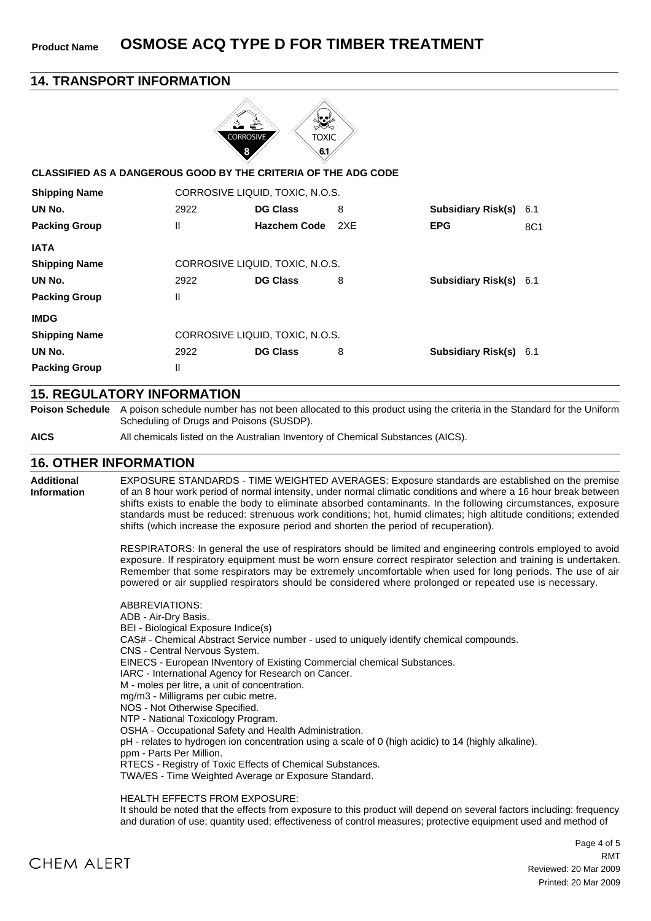**Product Name OSMOSE ACQ TYPE D FOR TIMBER TREATMENT**

#### **14. TRANSPORT INFORMATION**  $\ddot{\cdot}$ **TOXIC** 6.1 **CLASSIFIED AS A DANGEROUS GOOD BY THE CRITERIA OF THE ADG CODE** CORROSIVE LIQUID, TOXIC, N.O.S. **Shipping Name UN No. DG Class** 2922 8 6.1 **Subsidiary Risk(s) EPG Packing Group** II **Hazchem Code** 2XE **EPG** 8C1 **IATA Shipping Name** CORROSIVE LIQUID, TOXIC, N.O.S. 2922 8 6.1 **UN No. DG Class Subsidiary Risk(s)** II **Packing Group IMDG Shipping Name** CORROSIVE LIQUID, TOXIC, N.O.S. **UN No.** 2922 8 6.1 **DG Class Subsidiary Risk(s) Packing Group** II

#### **15. REGULATORY INFORMATION**

**Poison Schedule** A poison schedule number has not been allocated to this product using the criteria in the Standard for the Uniform Scheduling of Drugs and Poisons (SUSDP).

**AICS** All chemicals listed on the Australian Inventory of Chemical Substances (AICS).

#### **16. OTHER INFORMATION**

**Additional Information** EXPOSURE STANDARDS - TIME WEIGHTED AVERAGES: Exposure standards are established on the premise of an 8 hour work period of normal intensity, under normal climatic conditions and where a 16 hour break between shifts exists to enable the body to eliminate absorbed contaminants. In the following circumstances, exposure standards must be reduced: strenuous work conditions; hot, humid climates; high altitude conditions; extended shifts (which increase the exposure period and shorten the period of recuperation).

> RESPIRATORS: In general the use of respirators should be limited and engineering controls employed to avoid exposure. If respiratory equipment must be worn ensure correct respirator selection and training is undertaken. Remember that some respirators may be extremely uncomfortable when used for long periods. The use of air powered or air supplied respirators should be considered where prolonged or repeated use is necessary.

ABBREVIATIONS: ADB - Air-Dry Basis. BEI - Biological Exposure Indice(s) CAS# - Chemical Abstract Service number - used to uniquely identify chemical compounds. CNS - Central Nervous System. EINECS - European INventory of Existing Commercial chemical Substances. IARC - International Agency for Research on Cancer. M - moles per litre, a unit of concentration. mg/m3 - Milligrams per cubic metre. NOS - Not Otherwise Specified. NTP - National Toxicology Program. OSHA - Occupational Safety and Health Administration. pH - relates to hydrogen ion concentration using a scale of 0 (high acidic) to 14 (highly alkaline). ppm - Parts Per Million. RTECS - Registry of Toxic Effects of Chemical Substances. TWA/ES - Time Weighted Average or Exposure Standard.

HEALTH EFFECTS FROM EXPOSURE:

It should be noted that the effects from exposure to this product will depend on several factors including: frequency and duration of use; quantity used; effectiveness of control measures; protective equipment used and method of